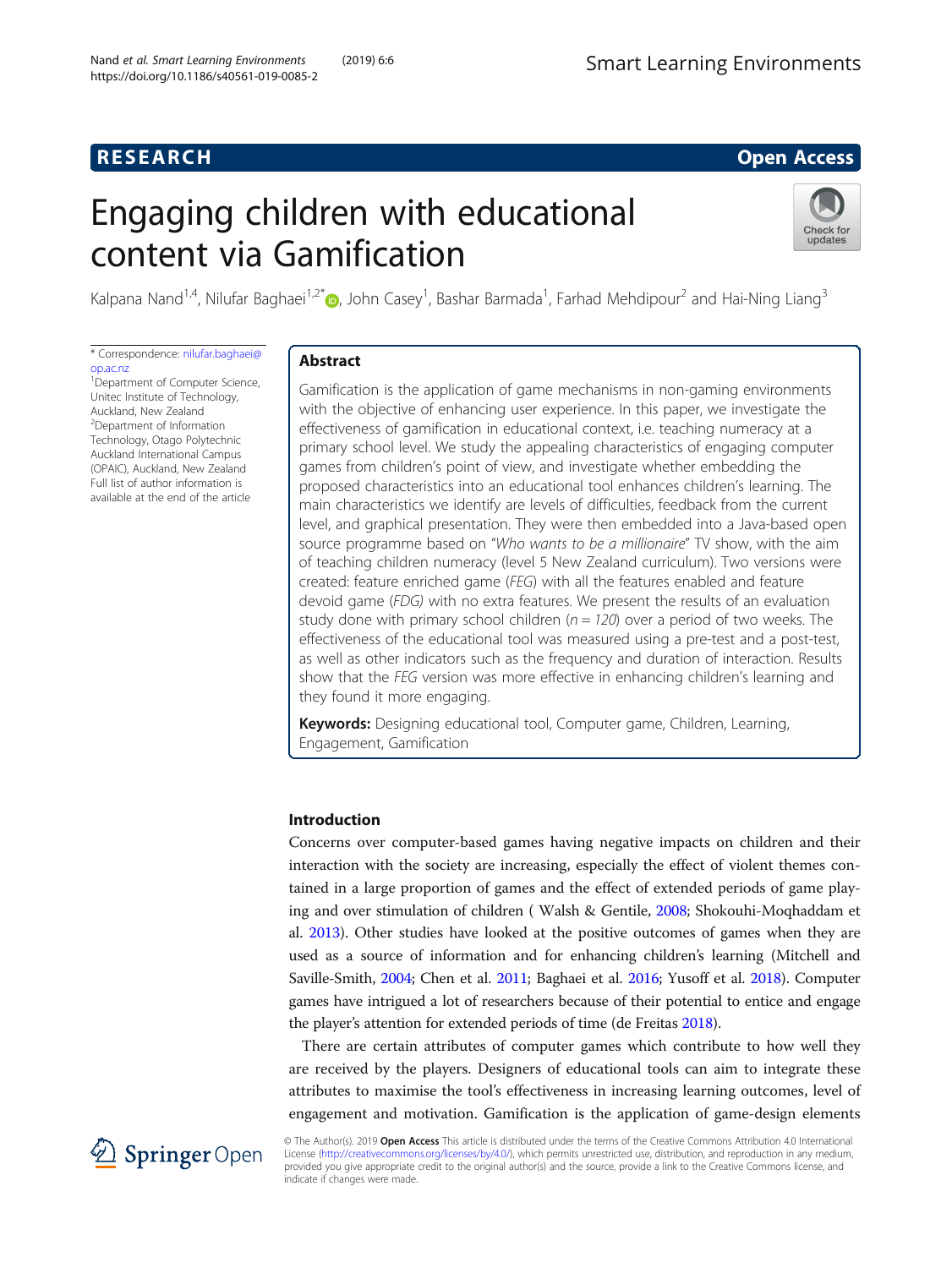# **RESEARCH CHEAR CHEAR CHEAR CHEAR CHEAR CHEAR CHEAR CHEAR CHEAR CHEAR CHEAR CHEAR CHEAR CHEAR CHEAR CHEAR CHEAR**

# Engaging children with educational content via Gamification



Kalpana Nand<sup>1,4</sup>, Nilufar Baghaei<sup>1,2[\\*](http://orcid.org/0000-0002-6028-1540)</sup>®, John Casey<sup>1</sup>, Bashar Barmada<sup>1</sup>, Farhad Mehdipour<sup>2</sup> and Hai-Ning Liang<sup>3</sup>

\* Correspondence: [nilufar.baghaei@](mailto:nilufar.baghaei@op.ac.nz) [op.ac.nz](mailto:nilufar.baghaei@op.ac.nz)

<sup>1</sup> Department of Computer Science, Unitec Institute of Technology, Auckland, New Zealand 2 Department of Information Technology, Otago Polytechnic Auckland International Campus (OPAIC), Auckland, New Zealand Full list of author information is available at the end of the article

# Abstract

Gamification is the application of game mechanisms in non-gaming environments with the objective of enhancing user experience. In this paper, we investigate the effectiveness of gamification in educational context, i.e. teaching numeracy at a primary school level. We study the appealing characteristics of engaging computer games from children's point of view, and investigate whether embedding the proposed characteristics into an educational tool enhances children's learning. The main characteristics we identify are levels of difficulties, feedback from the current level, and graphical presentation. They were then embedded into a Java-based open source programme based on "Who wants to be a millionaire" TV show, with the aim of teaching children numeracy (level 5 New Zealand curriculum). Two versions were created: feature enriched game (FEG) with all the features enabled and feature devoid game (FDG) with no extra features. We present the results of an evaluation study done with primary school children ( $n = 120$ ) over a period of two weeks. The effectiveness of the educational tool was measured using a pre-test and a post-test, as well as other indicators such as the frequency and duration of interaction. Results show that the FEG version was more effective in enhancing children's learning and they found it more engaging.

Keywords: Designing educational tool, Computer game, Children, Learning, Engagement, Gamification

# Introduction

Concerns over computer-based games having negative impacts on children and their interaction with the society are increasing, especially the effect of violent themes contained in a large proportion of games and the effect of extended periods of game playing and over stimulation of children ( Walsh & Gentile, [2008;](#page-14-0) Shokouhi-Moqhaddam et al. [2013\)](#page-14-0). Other studies have looked at the positive outcomes of games when they are used as a source of information and for enhancing children's learning (Mitchell and Saville-Smith, [2004;](#page-13-0) Chen et al. [2011](#page-13-0); Baghaei et al. [2016](#page-13-0); Yusoff et al. [2018\)](#page-14-0). Computer games have intrigued a lot of researchers because of their potential to entice and engage the player's attention for extended periods of time (de Freitas [2018](#page-13-0)).

There are certain attributes of computer games which contribute to how well they are received by the players. Designers of educational tools can aim to integrate these attributes to maximise the tool's effectiveness in increasing learning outcomes, level of engagement and motivation. Gamification is the application of game-design elements



© The Author(s). 2019 Open Access This article is distributed under the terms of the Creative Commons Attribution 4.0 International License [\(http://creativecommons.org/licenses/by/4.0/](http://creativecommons.org/licenses/by/4.0/)), which permits unrestricted use, distribution, and reproduction in any medium, provided you give appropriate credit to the original author(s) and the source, provide a link to the Creative Commons license, and indicate if changes were made.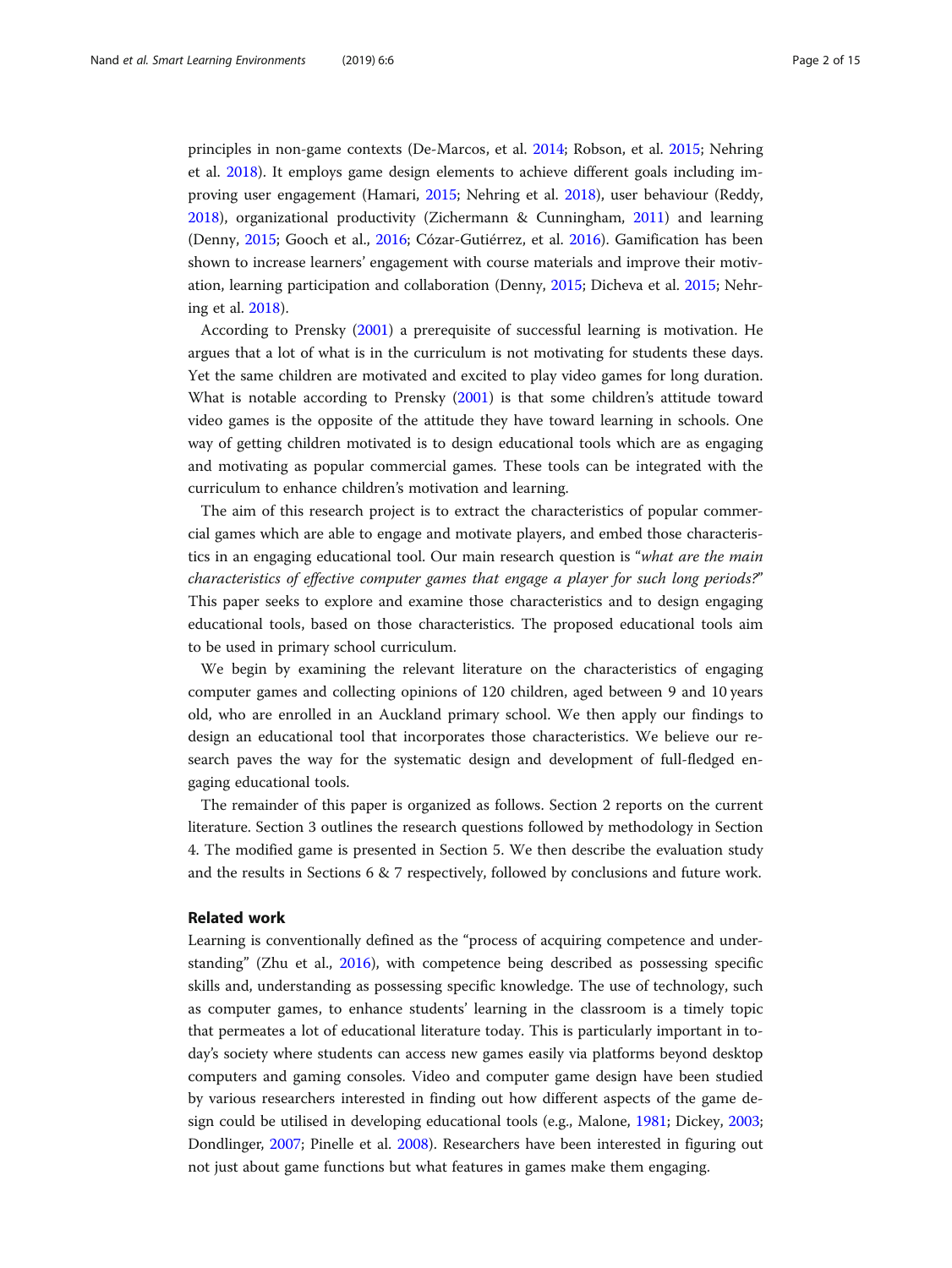principles in non-game contexts (De-Marcos, et al. [2014](#page-13-0); Robson, et al. [2015](#page-14-0); Nehring et al. [2018](#page-13-0)). It employs game design elements to achieve different goals including improving user engagement (Hamari, [2015;](#page-13-0) Nehring et al. [2018\)](#page-13-0), user behaviour (Reddy, [2018](#page-14-0)), organizational productivity (Zichermann & Cunningham, [2011](#page-14-0)) and learning (Denny, [2015;](#page-13-0) Gooch et al., [2016;](#page-13-0) Cózar-Gutiérrez, et al. [2016\)](#page-13-0). Gamification has been shown to increase learners' engagement with course materials and improve their motivation, learning participation and collaboration (Denny, [2015](#page-13-0); Dicheva et al. [2015](#page-13-0); Nehring et al. [2018](#page-13-0)).

According to Prensky ([2001](#page-14-0)) a prerequisite of successful learning is motivation. He argues that a lot of what is in the curriculum is not motivating for students these days. Yet the same children are motivated and excited to play video games for long duration. What is notable according to Prensky [\(2001\)](#page-14-0) is that some children's attitude toward video games is the opposite of the attitude they have toward learning in schools. One way of getting children motivated is to design educational tools which are as engaging and motivating as popular commercial games. These tools can be integrated with the curriculum to enhance children's motivation and learning.

The aim of this research project is to extract the characteristics of popular commercial games which are able to engage and motivate players, and embed those characteristics in an engaging educational tool. Our main research question is "what are the main characteristics of effective computer games that engage a player for such long periods?" This paper seeks to explore and examine those characteristics and to design engaging educational tools, based on those characteristics. The proposed educational tools aim to be used in primary school curriculum.

We begin by examining the relevant literature on the characteristics of engaging computer games and collecting opinions of 120 children, aged between 9 and 10 years old, who are enrolled in an Auckland primary school. We then apply our findings to design an educational tool that incorporates those characteristics. We believe our research paves the way for the systematic design and development of full-fledged engaging educational tools.

The remainder of this paper is organized as follows. Section 2 reports on the current literature. Section 3 outlines the research questions followed by methodology in Section 4. The modified game is presented in Section 5. We then describe the evaluation study and the results in Sections 6 & 7 respectively, followed by conclusions and future work.

### Related work

Learning is conventionally defined as the "process of acquiring competence and understanding" (Zhu et al., [2016](#page-14-0)), with competence being described as possessing specific skills and, understanding as possessing specific knowledge. The use of technology, such as computer games, to enhance students' learning in the classroom is a timely topic that permeates a lot of educational literature today. This is particularly important in today's society where students can access new games easily via platforms beyond desktop computers and gaming consoles. Video and computer game design have been studied by various researchers interested in finding out how different aspects of the game design could be utilised in developing educational tools (e.g., Malone, [1981](#page-13-0); Dickey, [2003](#page-13-0); Dondlinger, [2007](#page-13-0); Pinelle et al. [2008](#page-13-0)). Researchers have been interested in figuring out not just about game functions but what features in games make them engaging.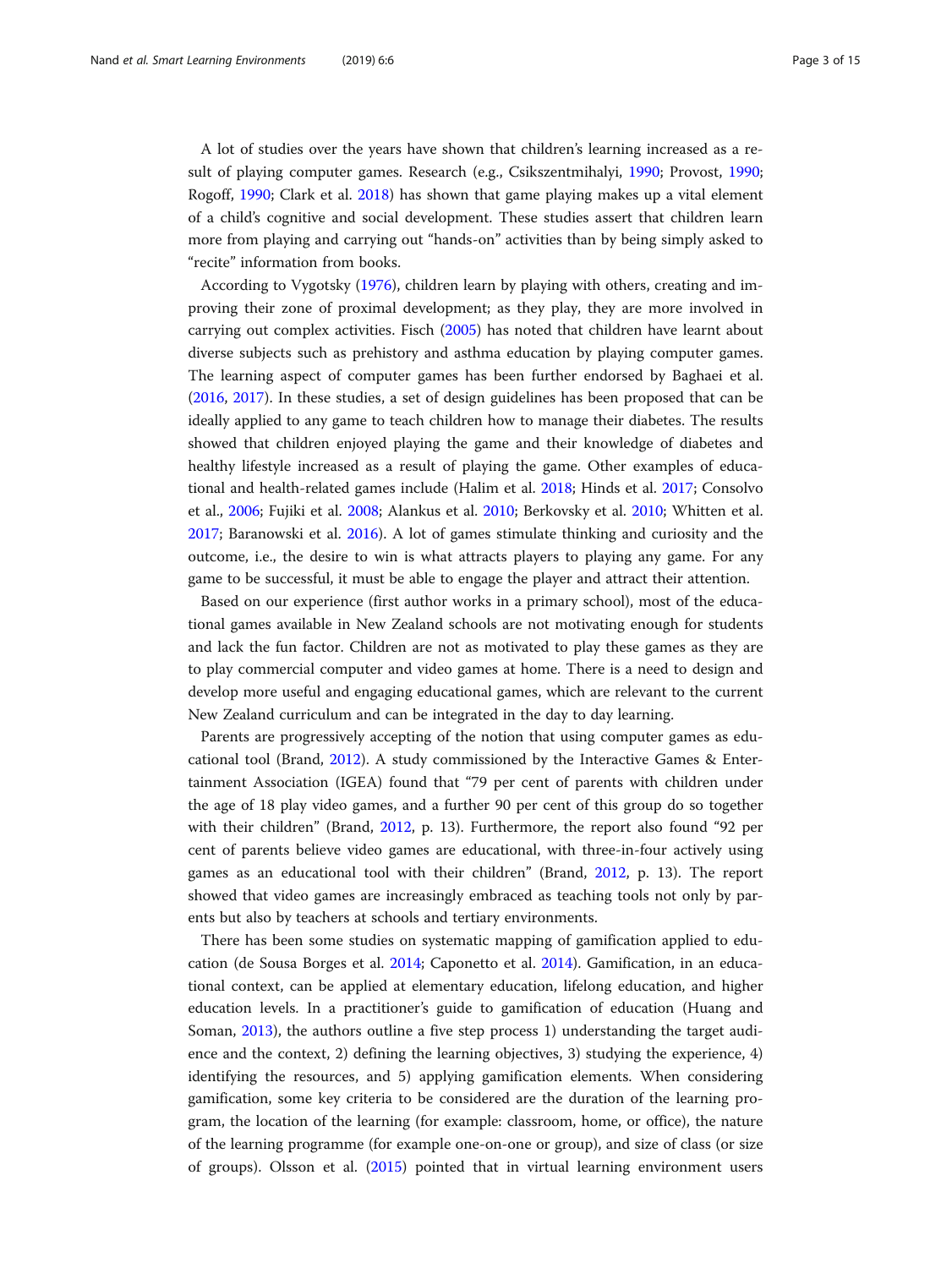A lot of studies over the years have shown that children's learning increased as a result of playing computer games. Research (e.g., Csikszentmihalyi, [1990](#page-13-0); Provost, [1990](#page-14-0); Rogoff, [1990](#page-14-0); Clark et al. [2018\)](#page-13-0) has shown that game playing makes up a vital element of a child's cognitive and social development. These studies assert that children learn more from playing and carrying out "hands-on" activities than by being simply asked to "recite" information from books.

According to Vygotsky ([1976](#page-14-0)), children learn by playing with others, creating and improving their zone of proximal development; as they play, they are more involved in carrying out complex activities. Fisch ([2005](#page-13-0)) has noted that children have learnt about diverse subjects such as prehistory and asthma education by playing computer games. The learning aspect of computer games has been further endorsed by Baghaei et al. ([2016](#page-13-0), [2017](#page-13-0)). In these studies, a set of design guidelines has been proposed that can be ideally applied to any game to teach children how to manage their diabetes. The results showed that children enjoyed playing the game and their knowledge of diabetes and healthy lifestyle increased as a result of playing the game. Other examples of educational and health-related games include (Halim et al. [2018](#page-13-0); Hinds et al. [2017](#page-13-0); Consolvo et al., [2006;](#page-13-0) Fujiki et al. [2008](#page-13-0); Alankus et al. [2010;](#page-13-0) Berkovsky et al. [2010](#page-13-0); Whitten et al. [2017](#page-14-0); Baranowski et al. [2016\)](#page-13-0). A lot of games stimulate thinking and curiosity and the outcome, i.e., the desire to win is what attracts players to playing any game. For any game to be successful, it must be able to engage the player and attract their attention.

Based on our experience (first author works in a primary school), most of the educational games available in New Zealand schools are not motivating enough for students and lack the fun factor. Children are not as motivated to play these games as they are to play commercial computer and video games at home. There is a need to design and develop more useful and engaging educational games, which are relevant to the current New Zealand curriculum and can be integrated in the day to day learning.

Parents are progressively accepting of the notion that using computer games as educational tool (Brand, [2012\)](#page-13-0). A study commissioned by the Interactive Games & Entertainment Association (IGEA) found that "79 per cent of parents with children under the age of 18 play video games, and a further 90 per cent of this group do so together with their children" (Brand, [2012,](#page-13-0) p. 13). Furthermore, the report also found "92 per cent of parents believe video games are educational, with three-in-four actively using games as an educational tool with their children" (Brand, [2012,](#page-13-0) p. 13). The report showed that video games are increasingly embraced as teaching tools not only by parents but also by teachers at schools and tertiary environments.

There has been some studies on systematic mapping of gamification applied to education (de Sousa Borges et al. [2014;](#page-13-0) Caponetto et al. [2014](#page-13-0)). Gamification, in an educational context, can be applied at elementary education, lifelong education, and higher education levels. In a practitioner's guide to gamification of education (Huang and Soman, [2013\)](#page-13-0), the authors outline a five step process 1) understanding the target audience and the context, 2) defining the learning objectives, 3) studying the experience, 4) identifying the resources, and 5) applying gamification elements. When considering gamification, some key criteria to be considered are the duration of the learning program, the location of the learning (for example: classroom, home, or office), the nature of the learning programme (for example one-on-one or group), and size of class (or size of groups). Olsson et al. [\(2015\)](#page-13-0) pointed that in virtual learning environment users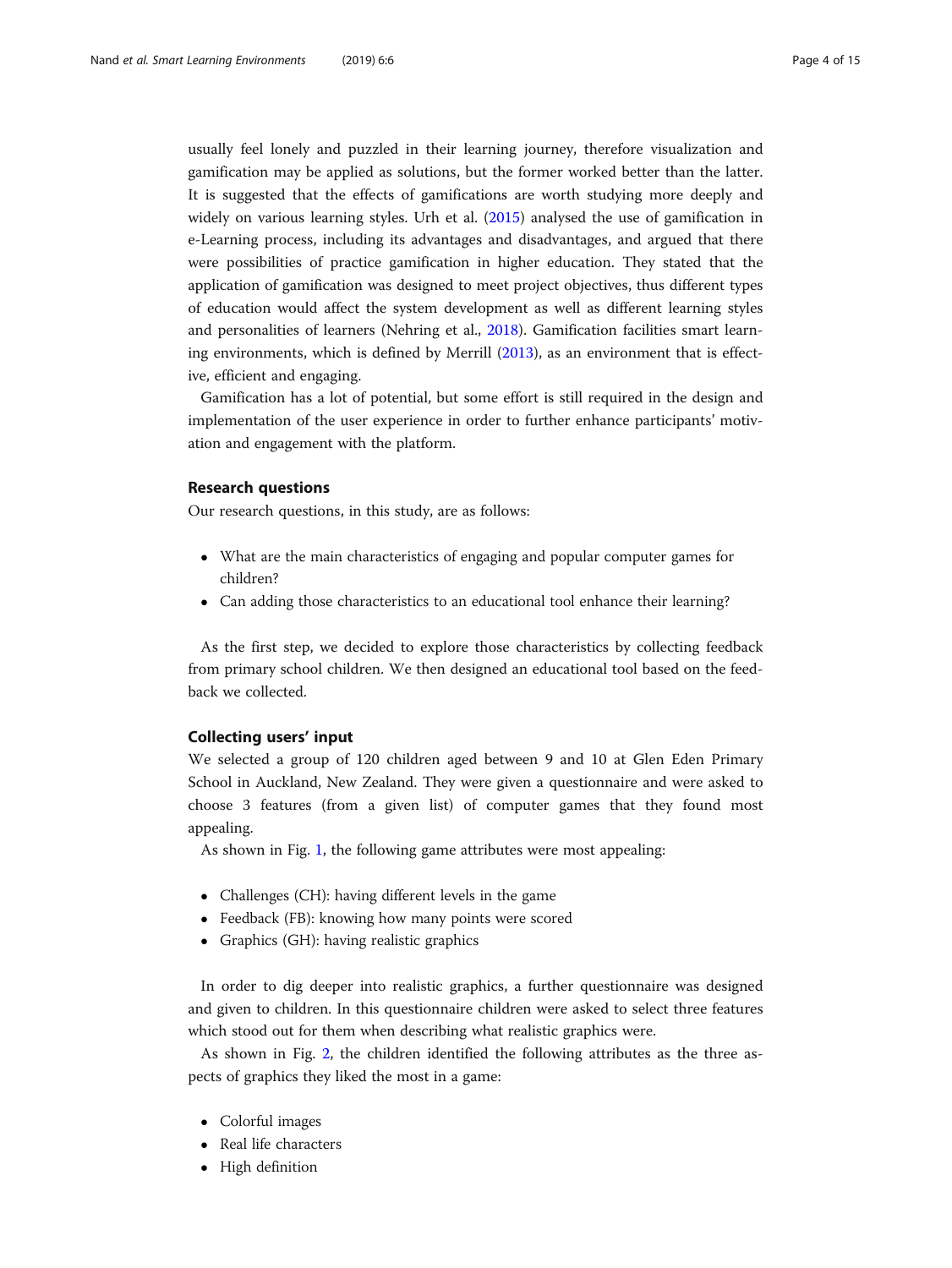usually feel lonely and puzzled in their learning journey, therefore visualization and gamification may be applied as solutions, but the former worked better than the latter. It is suggested that the effects of gamifications are worth studying more deeply and widely on various learning styles. Urh et al. ([2015](#page-14-0)) analysed the use of gamification in e-Learning process, including its advantages and disadvantages, and argued that there were possibilities of practice gamification in higher education. They stated that the application of gamification was designed to meet project objectives, thus different types of education would affect the system development as well as different learning styles and personalities of learners (Nehring et al., [2018](#page-13-0)). Gamification facilities smart learning environments, which is defined by Merrill [\(2013\)](#page-13-0), as an environment that is effective, efficient and engaging.

Gamification has a lot of potential, but some effort is still required in the design and implementation of the user experience in order to further enhance participants' motivation and engagement with the platform.

## Research questions

Our research questions, in this study, are as follows:

- What are the main characteristics of engaging and popular computer games for children?
- Can adding those characteristics to an educational tool enhance their learning?

As the first step, we decided to explore those characteristics by collecting feedback from primary school children. We then designed an educational tool based on the feedback we collected.

# Collecting users' input

We selected a group of 120 children aged between 9 and 10 at Glen Eden Primary School in Auckland, New Zealand. They were given a questionnaire and were asked to choose 3 features (from a given list) of computer games that they found most appealing.

As shown in Fig. [1](#page-4-0), the following game attributes were most appealing:

- Challenges (CH): having different levels in the game
- Feedback (FB): knowing how many points were scored
- Graphics (GH): having realistic graphics

In order to dig deeper into realistic graphics, a further questionnaire was designed and given to children. In this questionnaire children were asked to select three features which stood out for them when describing what realistic graphics were.

As shown in Fig. [2,](#page-4-0) the children identified the following attributes as the three aspects of graphics they liked the most in a game:

- Colorful images
- Real life characters
- High definition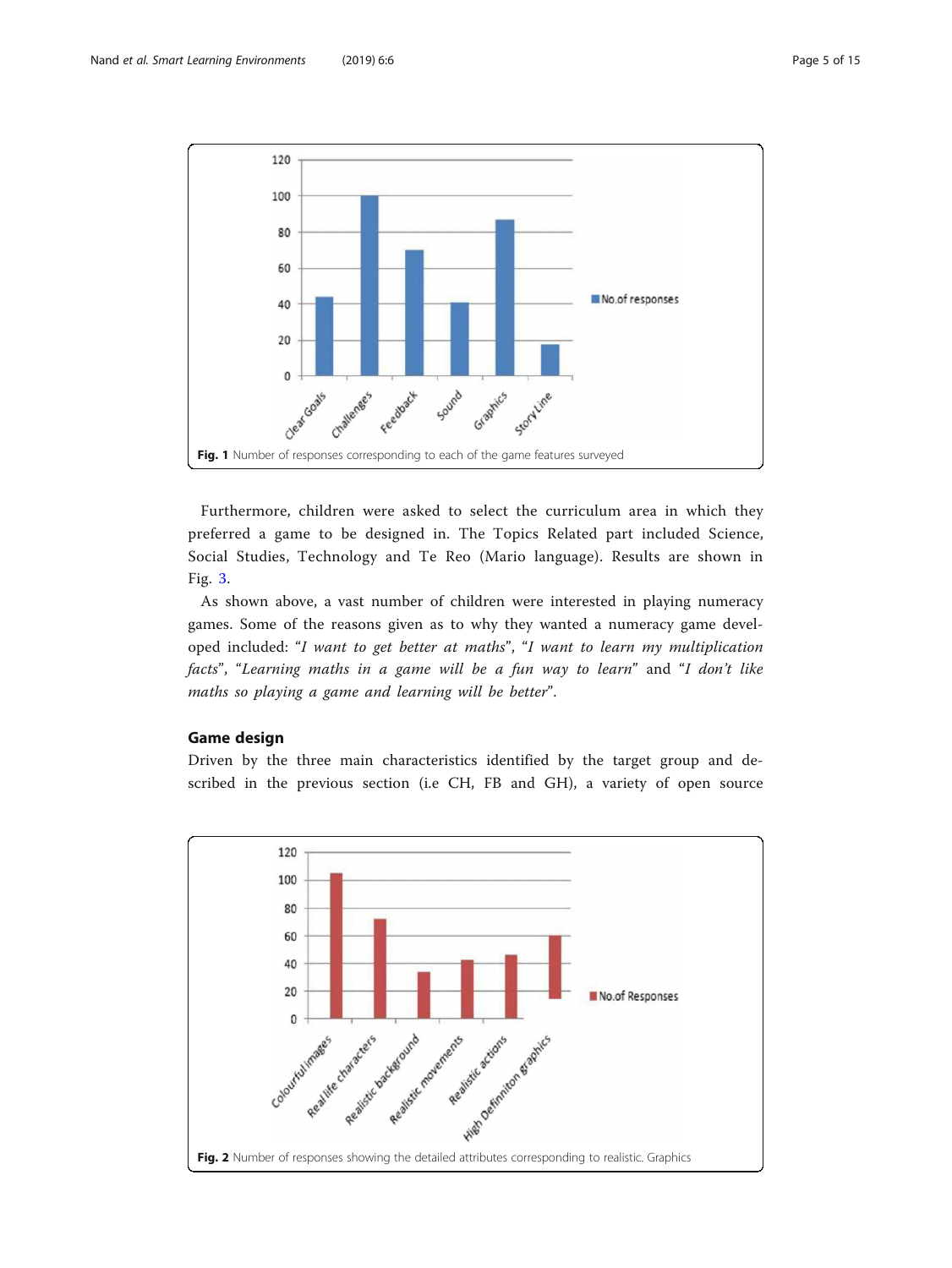<span id="page-4-0"></span>

Furthermore, children were asked to select the curriculum area in which they preferred a game to be designed in. The Topics Related part included Science, Social Studies, Technology and Te Reo (Mario language). Results are shown in Fig. [3.](#page-5-0)

As shown above, a vast number of children were interested in playing numeracy games. Some of the reasons given as to why they wanted a numeracy game developed included: "I want to get better at maths", "I want to learn my multiplication facts", "Learning maths in a game will be a fun way to learn" and "I don't like maths so playing a game and learning will be better".

# Game design

Driven by the three main characteristics identified by the target group and described in the previous section (i.e CH, FB and GH), a variety of open source

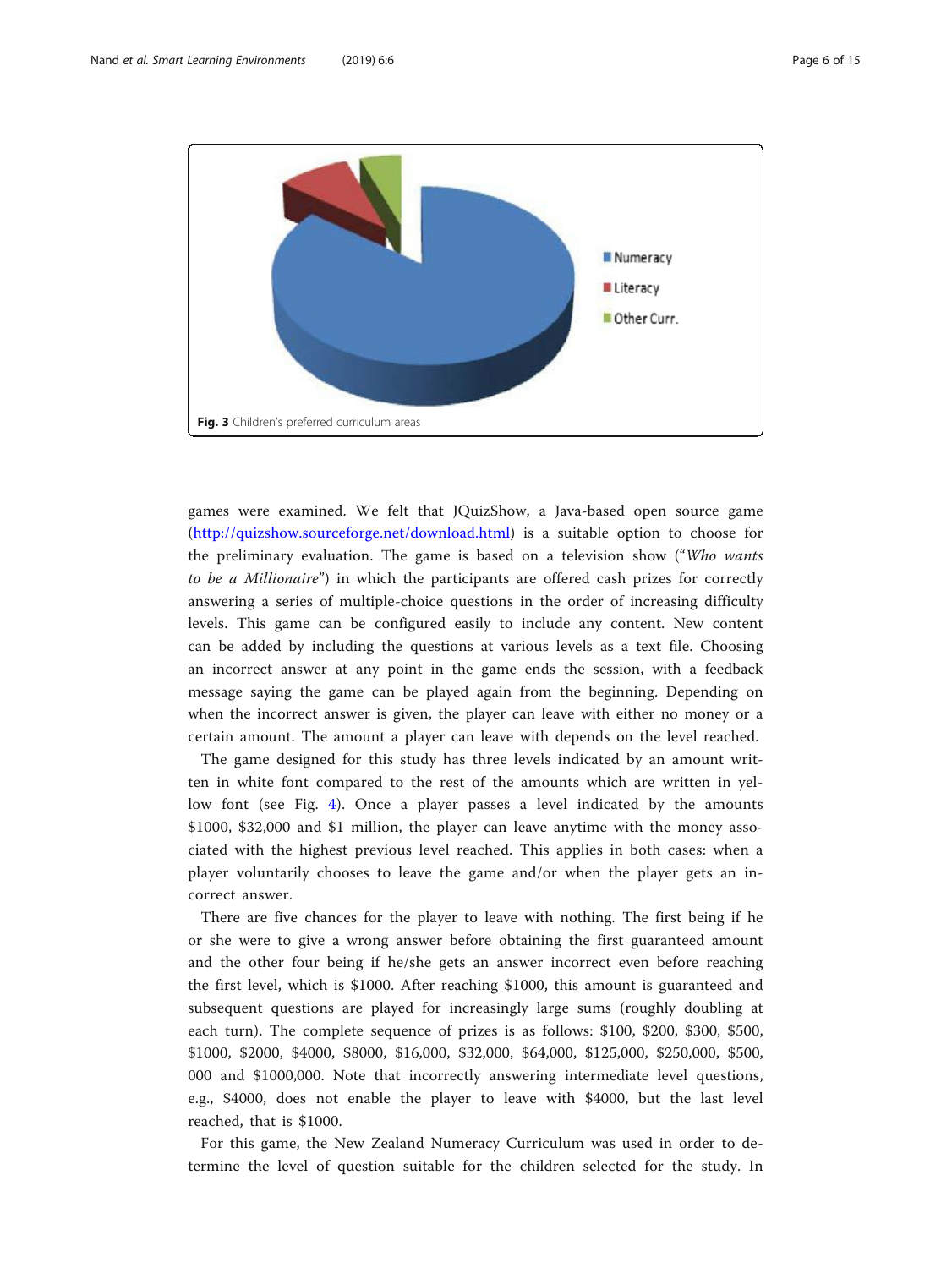<span id="page-5-0"></span>

games were examined. We felt that JQuizShow, a Java-based open source game (<http://quizshow.sourceforge.net/download.html>) is a suitable option to choose for the preliminary evaluation. The game is based on a television show ("Who wants to be a Millionaire") in which the participants are offered cash prizes for correctly answering a series of multiple-choice questions in the order of increasing difficulty levels. This game can be configured easily to include any content. New content can be added by including the questions at various levels as a text file. Choosing an incorrect answer at any point in the game ends the session, with a feedback message saying the game can be played again from the beginning. Depending on when the incorrect answer is given, the player can leave with either no money or a certain amount. The amount a player can leave with depends on the level reached.

The game designed for this study has three levels indicated by an amount written in white font compared to the rest of the amounts which are written in yellow font (see Fig. [4\)](#page-6-0). Once a player passes a level indicated by the amounts \$1000, \$32,000 and \$1 million, the player can leave anytime with the money associated with the highest previous level reached. This applies in both cases: when a player voluntarily chooses to leave the game and/or when the player gets an incorrect answer.

There are five chances for the player to leave with nothing. The first being if he or she were to give a wrong answer before obtaining the first guaranteed amount and the other four being if he/she gets an answer incorrect even before reaching the first level, which is \$1000. After reaching \$1000, this amount is guaranteed and subsequent questions are played for increasingly large sums (roughly doubling at each turn). The complete sequence of prizes is as follows: \$100, \$200, \$300, \$500, \$1000, \$2000, \$4000, \$8000, \$16,000, \$32,000, \$64,000, \$125,000, \$250,000, \$500, 000 and \$1000,000. Note that incorrectly answering intermediate level questions, e.g., \$4000, does not enable the player to leave with \$4000, but the last level reached, that is \$1000.

For this game, the New Zealand Numeracy Curriculum was used in order to determine the level of question suitable for the children selected for the study. In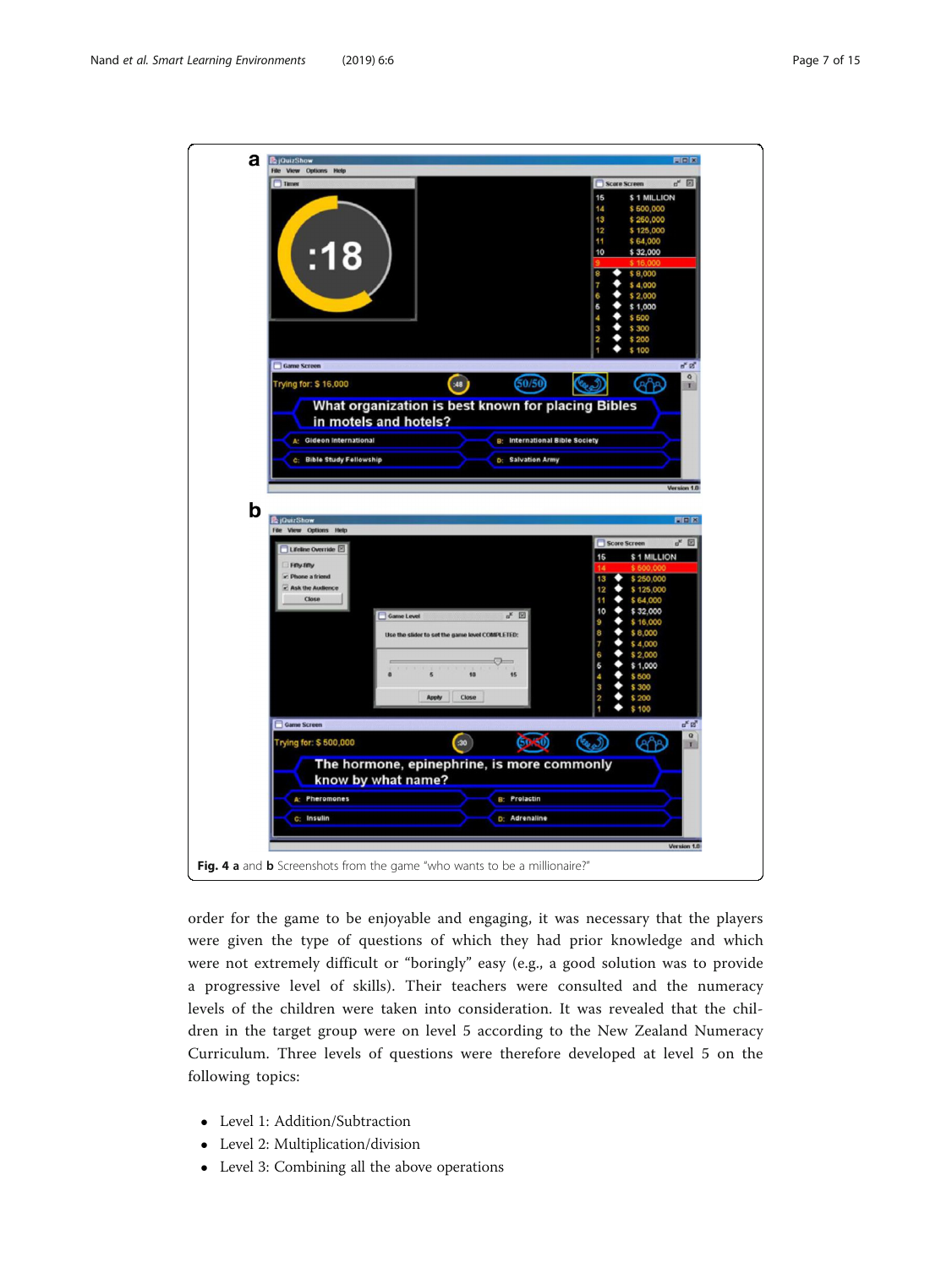<span id="page-6-0"></span>

| а<br><b>B</b> jOuizShow<br>File View Options Help                                                             |                                                                                                                                                 | 南南区                                                                                                                                                                                                                                                                                                 |
|---------------------------------------------------------------------------------------------------------------|-------------------------------------------------------------------------------------------------------------------------------------------------|-----------------------------------------------------------------------------------------------------------------------------------------------------------------------------------------------------------------------------------------------------------------------------------------------------|
| <b>Timer</b><br>:18<br>Game Screen                                                                            |                                                                                                                                                 | Score Screen<br>$n^k$ $\boxtimes$<br>15<br>\$1 MILLION<br>\$500,000<br>14<br>13<br>\$260,000<br>12<br>\$125,000<br>11<br>\$64,000<br>10<br>\$32,000<br>8<br>\$8,000<br>7<br>\$4,000<br>\$2.000<br>6<br>6<br>\$1,000<br>4<br>\$500<br>3<br>\$300<br>ė<br>\$200<br>\$100<br>$\mathbf{a}^{\mathbf{K}}$ |
| Trying for: \$16,000                                                                                          | (48)<br>60/50<br>What organization is best known for placing Bibles<br>in motels and hotels?                                                    | $\overline{Q}$<br>ඥිම<br>Y)                                                                                                                                                                                                                                                                         |
| A: Gideon International<br><b>C: Bible Study Fellowship</b>                                                   | <b>B: International Bible Society</b><br>D: Salvation Army                                                                                      | Version 1.0                                                                                                                                                                                                                                                                                         |
| b<br><b>E</b> jQuizShow                                                                                       |                                                                                                                                                 | <b>EIF R</b>                                                                                                                                                                                                                                                                                        |
| File View Options Help<br>Lifeline Override<br>Fifty-fifty<br>- Phone a friend<br>- Ask the Audience<br>Close | $a^k$ [2]<br>Game Level<br>Use the slider to set the game level COMPLETED:<br>$\sim$<br>$\pmb{\mathfrak{a}}$<br>5<br>10<br>15<br>Apply<br>Close | $\mathbf{u}_\kappa$<br>Score Screen<br>\$1 MILLION<br>15<br>\$250,000<br>13<br>\$125,000<br>12<br>\$64,000<br>11<br>10<br>\$32,000<br>9<br>\$16,000<br>8<br>\$8,000<br>7<br>\$4,000<br>6<br>\$2,000<br>6<br>\$1,000<br>\$500<br>4<br>3<br>\$300<br>2<br>\$200<br>\$100                              |
| Game Screen<br>Trying for: \$500,000                                                                          | $\left( 30\right)$<br>50.50                                                                                                                     | $a^k$ $a^k$<br>$\alpha$<br>ها<br>(୧୯୨<br>۳                                                                                                                                                                                                                                                          |
| A: Pheromones                                                                                                 | The hormone, epinephrine, is more commonly<br>know by what name?<br><b>B: Prolactin</b>                                                         |                                                                                                                                                                                                                                                                                                     |
| c: Insulin                                                                                                    | D: Adrenaline                                                                                                                                   | Version 1.0                                                                                                                                                                                                                                                                                         |
|                                                                                                               | Fig. 4 a and b Screenshots from the game "who wants to be a millionaire?"                                                                       |                                                                                                                                                                                                                                                                                                     |

order for the game to be enjoyable and engaging, it was necessary that the players were given the type of questions of which they had prior knowledge and which were not extremely difficult or "boringly" easy (e.g., a good solution was to provide a progressive level of skills). Their teachers were consulted and the numeracy levels of the children were taken into consideration. It was revealed that the children in the target group were on level 5 according to the New Zealand Numeracy Curriculum. Three levels of questions were therefore developed at level 5 on the following topics:

- Level 1: Addition/Subtraction
- Level 2: Multiplication/division
- Level 3: Combining all the above operations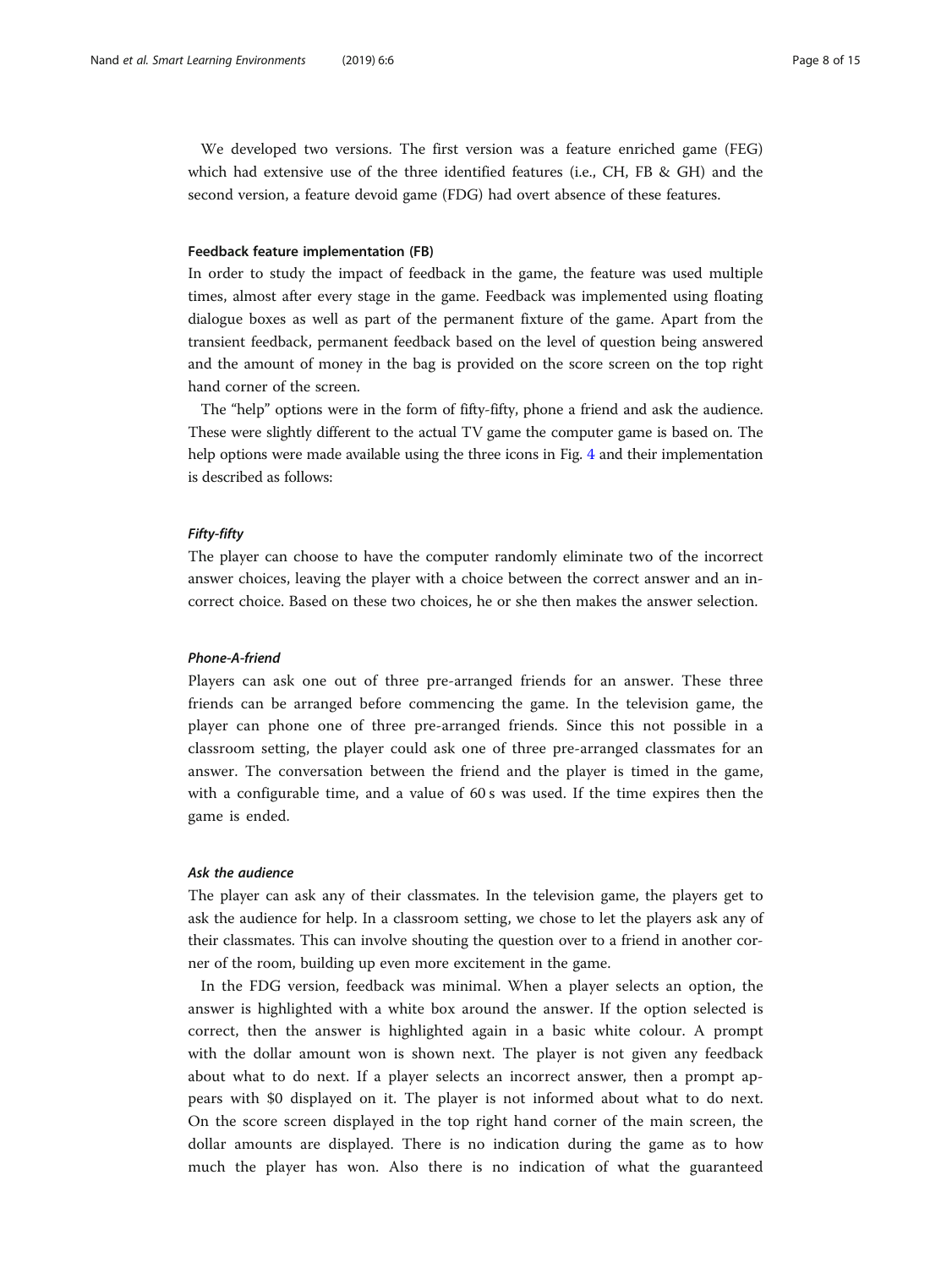We developed two versions. The first version was a feature enriched game (FEG) which had extensive use of the three identified features (i.e., CH, FB & GH) and the second version, a feature devoid game (FDG) had overt absence of these features.

#### Feedback feature implementation (FB)

In order to study the impact of feedback in the game, the feature was used multiple times, almost after every stage in the game. Feedback was implemented using floating dialogue boxes as well as part of the permanent fixture of the game. Apart from the transient feedback, permanent feedback based on the level of question being answered and the amount of money in the bag is provided on the score screen on the top right hand corner of the screen.

The "help" options were in the form of fifty-fifty, phone a friend and ask the audience. These were slightly different to the actual TV game the computer game is based on. The help options were made available using the three icons in Fig. [4](#page-6-0) and their implementation is described as follows:

#### Fifty-fifty

The player can choose to have the computer randomly eliminate two of the incorrect answer choices, leaving the player with a choice between the correct answer and an incorrect choice. Based on these two choices, he or she then makes the answer selection.

# Phone-A-friend

Players can ask one out of three pre-arranged friends for an answer. These three friends can be arranged before commencing the game. In the television game, the player can phone one of three pre-arranged friends. Since this not possible in a classroom setting, the player could ask one of three pre-arranged classmates for an answer. The conversation between the friend and the player is timed in the game, with a configurable time, and a value of 60 s was used. If the time expires then the game is ended.

#### Ask the audience

The player can ask any of their classmates. In the television game, the players get to ask the audience for help. In a classroom setting, we chose to let the players ask any of their classmates. This can involve shouting the question over to a friend in another corner of the room, building up even more excitement in the game.

In the FDG version, feedback was minimal. When a player selects an option, the answer is highlighted with a white box around the answer. If the option selected is correct, then the answer is highlighted again in a basic white colour. A prompt with the dollar amount won is shown next. The player is not given any feedback about what to do next. If a player selects an incorrect answer, then a prompt appears with \$0 displayed on it. The player is not informed about what to do next. On the score screen displayed in the top right hand corner of the main screen, the dollar amounts are displayed. There is no indication during the game as to how much the player has won. Also there is no indication of what the guaranteed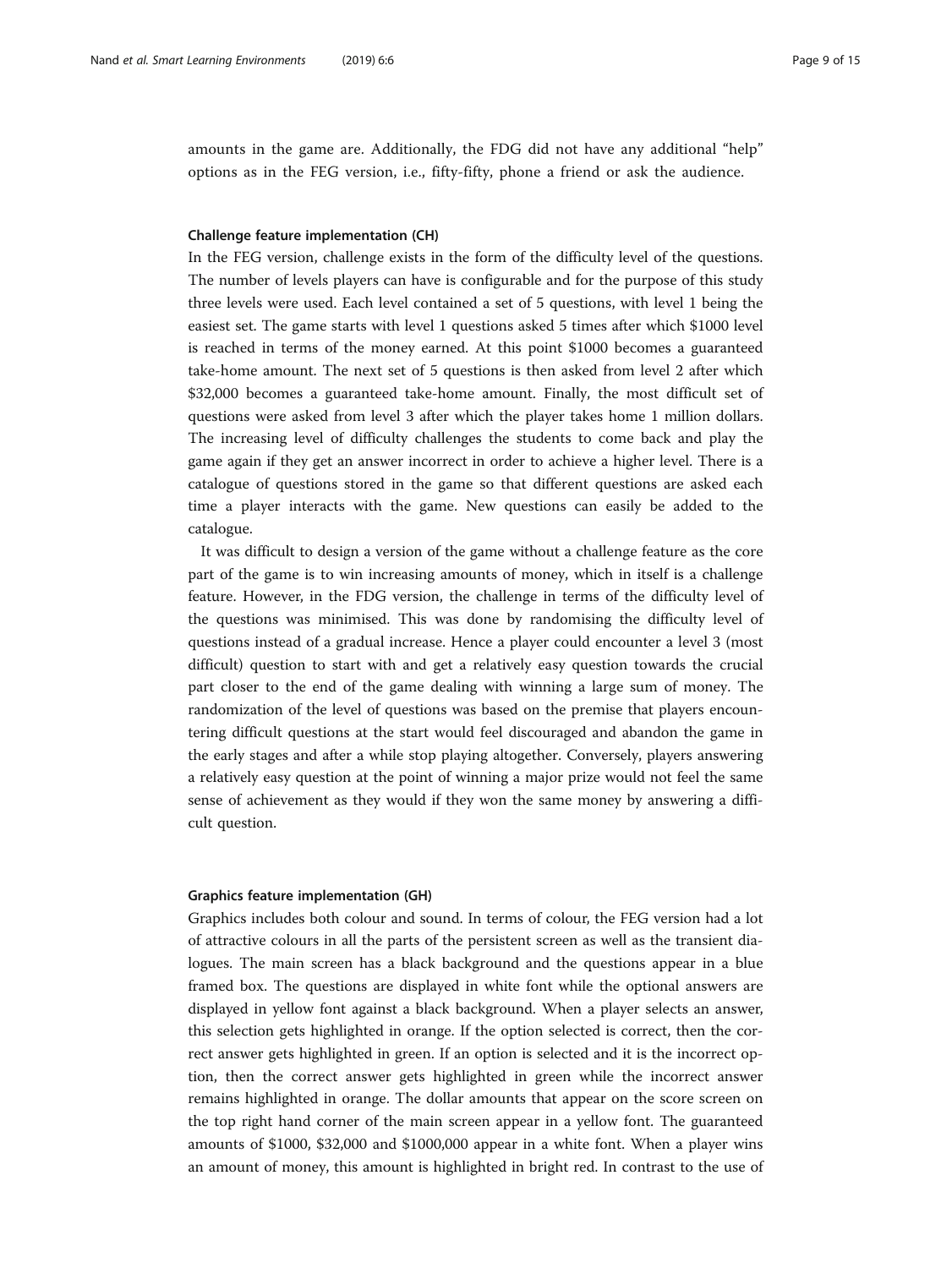amounts in the game are. Additionally, the FDG did not have any additional "help" options as in the FEG version, i.e., fifty-fifty, phone a friend or ask the audience.

#### Challenge feature implementation (CH)

In the FEG version, challenge exists in the form of the difficulty level of the questions. The number of levels players can have is configurable and for the purpose of this study three levels were used. Each level contained a set of 5 questions, with level 1 being the easiest set. The game starts with level 1 questions asked 5 times after which \$1000 level is reached in terms of the money earned. At this point \$1000 becomes a guaranteed take-home amount. The next set of 5 questions is then asked from level 2 after which \$32,000 becomes a guaranteed take-home amount. Finally, the most difficult set of questions were asked from level 3 after which the player takes home 1 million dollars. The increasing level of difficulty challenges the students to come back and play the game again if they get an answer incorrect in order to achieve a higher level. There is a catalogue of questions stored in the game so that different questions are asked each time a player interacts with the game. New questions can easily be added to the catalogue.

It was difficult to design a version of the game without a challenge feature as the core part of the game is to win increasing amounts of money, which in itself is a challenge feature. However, in the FDG version, the challenge in terms of the difficulty level of the questions was minimised. This was done by randomising the difficulty level of questions instead of a gradual increase. Hence a player could encounter a level 3 (most difficult) question to start with and get a relatively easy question towards the crucial part closer to the end of the game dealing with winning a large sum of money. The randomization of the level of questions was based on the premise that players encountering difficult questions at the start would feel discouraged and abandon the game in the early stages and after a while stop playing altogether. Conversely, players answering a relatively easy question at the point of winning a major prize would not feel the same sense of achievement as they would if they won the same money by answering a difficult question.

#### Graphics feature implementation (GH)

Graphics includes both colour and sound. In terms of colour, the FEG version had a lot of attractive colours in all the parts of the persistent screen as well as the transient dialogues. The main screen has a black background and the questions appear in a blue framed box. The questions are displayed in white font while the optional answers are displayed in yellow font against a black background. When a player selects an answer, this selection gets highlighted in orange. If the option selected is correct, then the correct answer gets highlighted in green. If an option is selected and it is the incorrect option, then the correct answer gets highlighted in green while the incorrect answer remains highlighted in orange. The dollar amounts that appear on the score screen on the top right hand corner of the main screen appear in a yellow font. The guaranteed amounts of \$1000, \$32,000 and \$1000,000 appear in a white font. When a player wins an amount of money, this amount is highlighted in bright red. In contrast to the use of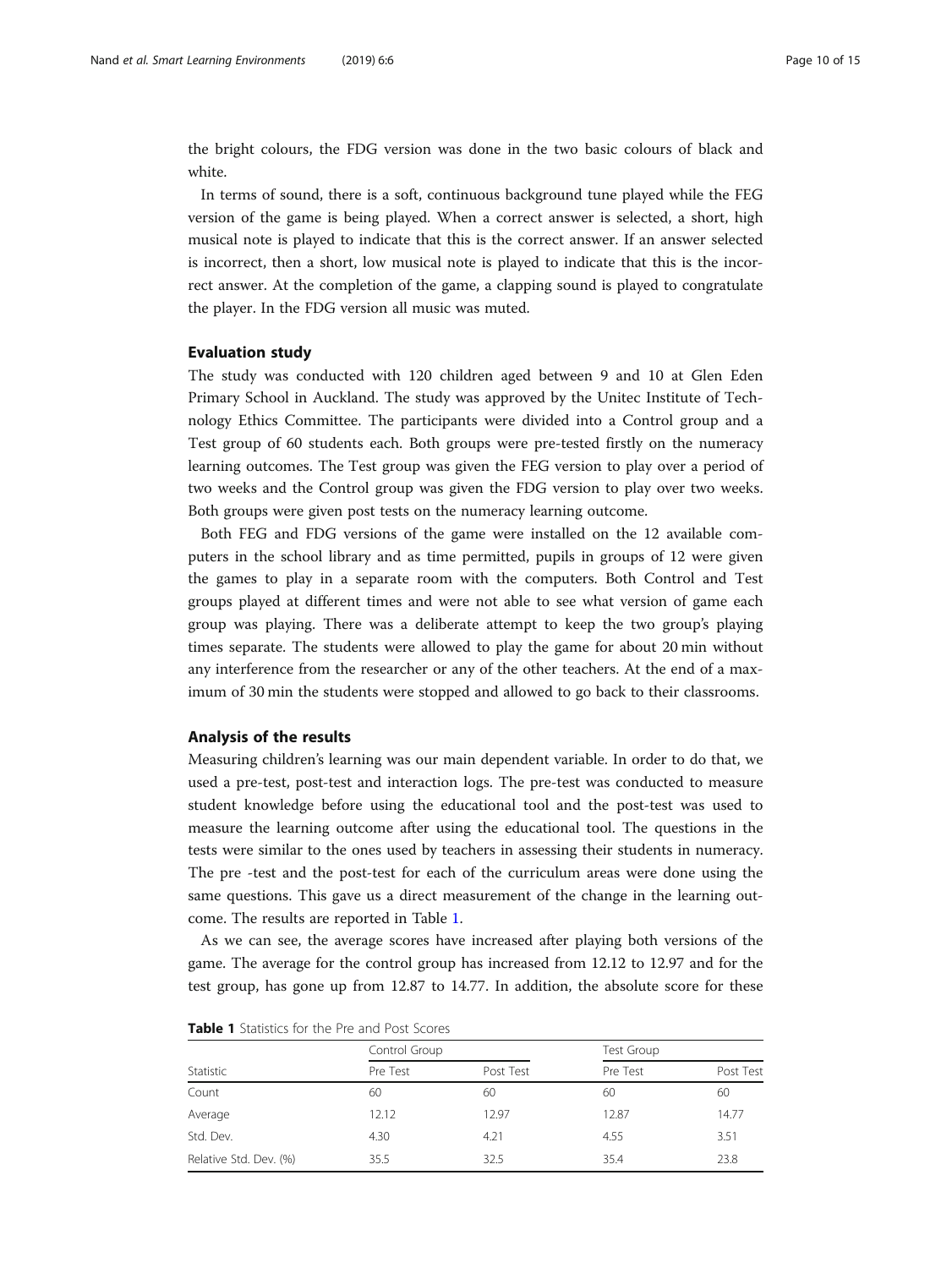<span id="page-9-0"></span>the bright colours, the FDG version was done in the two basic colours of black and white.

In terms of sound, there is a soft, continuous background tune played while the FEG version of the game is being played. When a correct answer is selected, a short, high musical note is played to indicate that this is the correct answer. If an answer selected is incorrect, then a short, low musical note is played to indicate that this is the incorrect answer. At the completion of the game, a clapping sound is played to congratulate the player. In the FDG version all music was muted.

#### Evaluation study

The study was conducted with 120 children aged between 9 and 10 at Glen Eden Primary School in Auckland. The study was approved by the Unitec Institute of Technology Ethics Committee. The participants were divided into a Control group and a Test group of 60 students each. Both groups were pre-tested firstly on the numeracy learning outcomes. The Test group was given the FEG version to play over a period of two weeks and the Control group was given the FDG version to play over two weeks. Both groups were given post tests on the numeracy learning outcome.

Both FEG and FDG versions of the game were installed on the 12 available computers in the school library and as time permitted, pupils in groups of 12 were given the games to play in a separate room with the computers. Both Control and Test groups played at different times and were not able to see what version of game each group was playing. There was a deliberate attempt to keep the two group's playing times separate. The students were allowed to play the game for about 20 min without any interference from the researcher or any of the other teachers. At the end of a maximum of 30 min the students were stopped and allowed to go back to their classrooms.

#### Analysis of the results

Measuring children's learning was our main dependent variable. In order to do that, we used a pre-test, post-test and interaction logs. The pre-test was conducted to measure student knowledge before using the educational tool and the post-test was used to measure the learning outcome after using the educational tool. The questions in the tests were similar to the ones used by teachers in assessing their students in numeracy. The pre -test and the post-test for each of the curriculum areas were done using the same questions. This gave us a direct measurement of the change in the learning outcome. The results are reported in Table 1.

As we can see, the average scores have increased after playing both versions of the game. The average for the control group has increased from 12.12 to 12.97 and for the test group, has gone up from 12.87 to 14.77. In addition, the absolute score for these

| Statistic              |          | Control Group |          | <b>Test Group</b> |  |
|------------------------|----------|---------------|----------|-------------------|--|
|                        | Pre Test | Post Test     | Pre Test | Post Test         |  |
| Count                  | 60       | 60            | 60       | 60                |  |
| Average                | 12.12    | 12.97         | 12.87    | 14.77             |  |
| Std. Dev.              | 4.30     | 4.21          | 4.55     | 3.51              |  |
| Relative Std. Dev. (%) | 35.5     | 32.5          | 35.4     | 23.8              |  |

Table 1 Statistics for the Pre and Post Scores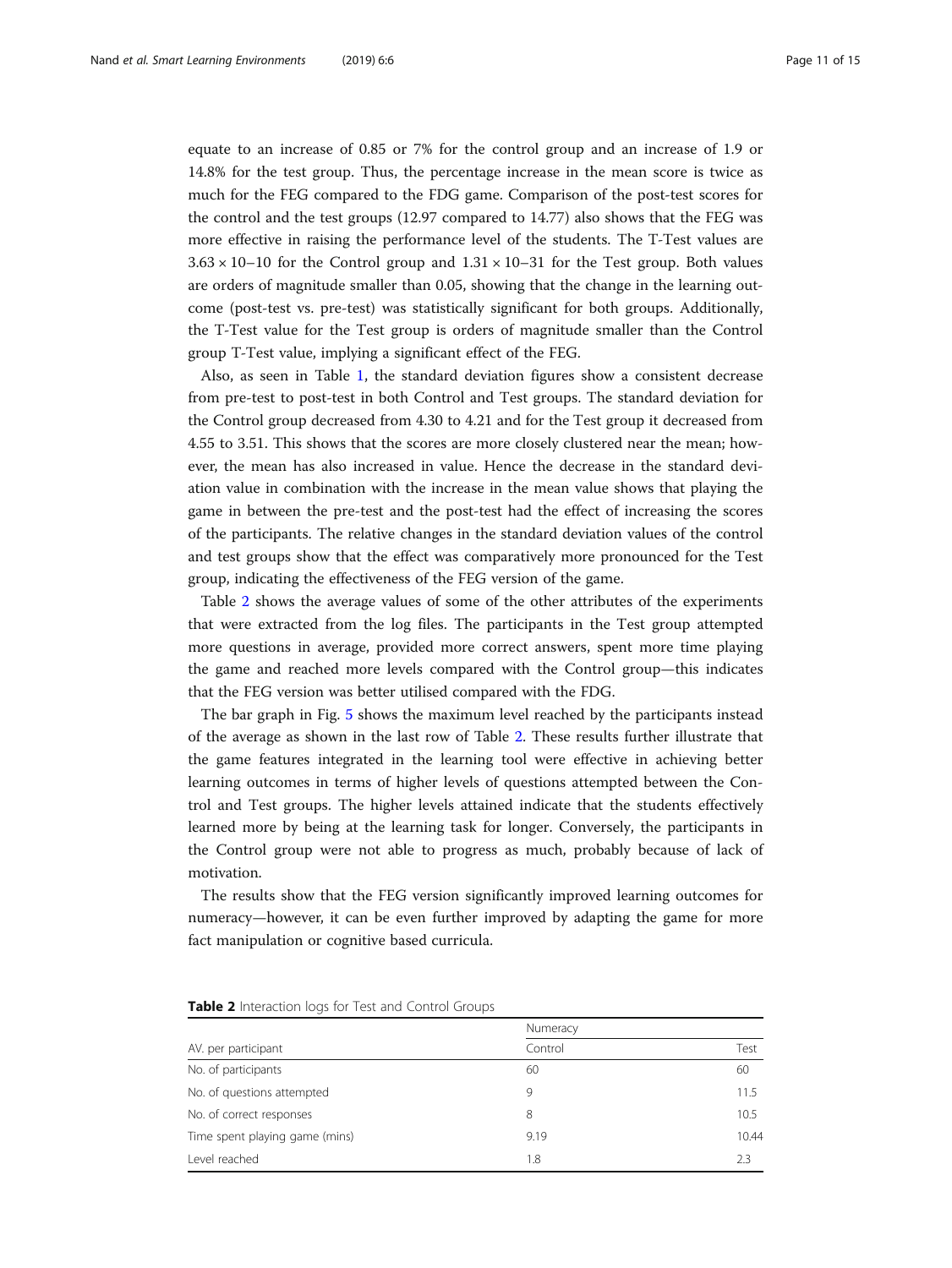equate to an increase of 0.85 or 7% for the control group and an increase of 1.9 or 14.8% for the test group. Thus, the percentage increase in the mean score is twice as much for the FEG compared to the FDG game. Comparison of the post-test scores for the control and the test groups (12.97 compared to 14.77) also shows that the FEG was more effective in raising the performance level of the students. The T-Test values are  $3.63 \times 10$ –10 for the Control group and  $1.31 \times 10$ –31 for the Test group. Both values are orders of magnitude smaller than 0.05, showing that the change in the learning outcome (post-test vs. pre-test) was statistically significant for both groups. Additionally, the T-Test value for the Test group is orders of magnitude smaller than the Control group T-Test value, implying a significant effect of the FEG.

Also, as seen in Table [1](#page-9-0), the standard deviation figures show a consistent decrease from pre-test to post-test in both Control and Test groups. The standard deviation for the Control group decreased from 4.30 to 4.21 and for the Test group it decreased from 4.55 to 3.51. This shows that the scores are more closely clustered near the mean; however, the mean has also increased in value. Hence the decrease in the standard deviation value in combination with the increase in the mean value shows that playing the game in between the pre-test and the post-test had the effect of increasing the scores of the participants. The relative changes in the standard deviation values of the control and test groups show that the effect was comparatively more pronounced for the Test group, indicating the effectiveness of the FEG version of the game.

Table 2 shows the average values of some of the other attributes of the experiments that were extracted from the log files. The participants in the Test group attempted more questions in average, provided more correct answers, spent more time playing the game and reached more levels compared with the Control group—this indicates that the FEG version was better utilised compared with the FDG.

The bar graph in Fig. [5](#page-11-0) shows the maximum level reached by the participants instead of the average as shown in the last row of Table 2. These results further illustrate that the game features integrated in the learning tool were effective in achieving better learning outcomes in terms of higher levels of questions attempted between the Control and Test groups. The higher levels attained indicate that the students effectively learned more by being at the learning task for longer. Conversely, the participants in the Control group were not able to progress as much, probably because of lack of motivation.

The results show that the FEG version significantly improved learning outcomes for numeracy—however, it can be even further improved by adapting the game for more fact manipulation or cognitive based curricula.

|                                | Numeracy |       |
|--------------------------------|----------|-------|
| AV. per participant            | Control  | Test  |
| No. of participants            | 60       | 60    |
| No. of questions attempted     | 9        | 11.5  |
| No. of correct responses       | 8        | 10.5  |
| Time spent playing game (mins) | 9.19     | 10.44 |
| Level reached                  | 1.8      | 23    |

Table 2 Interaction logs for Test and Control Groups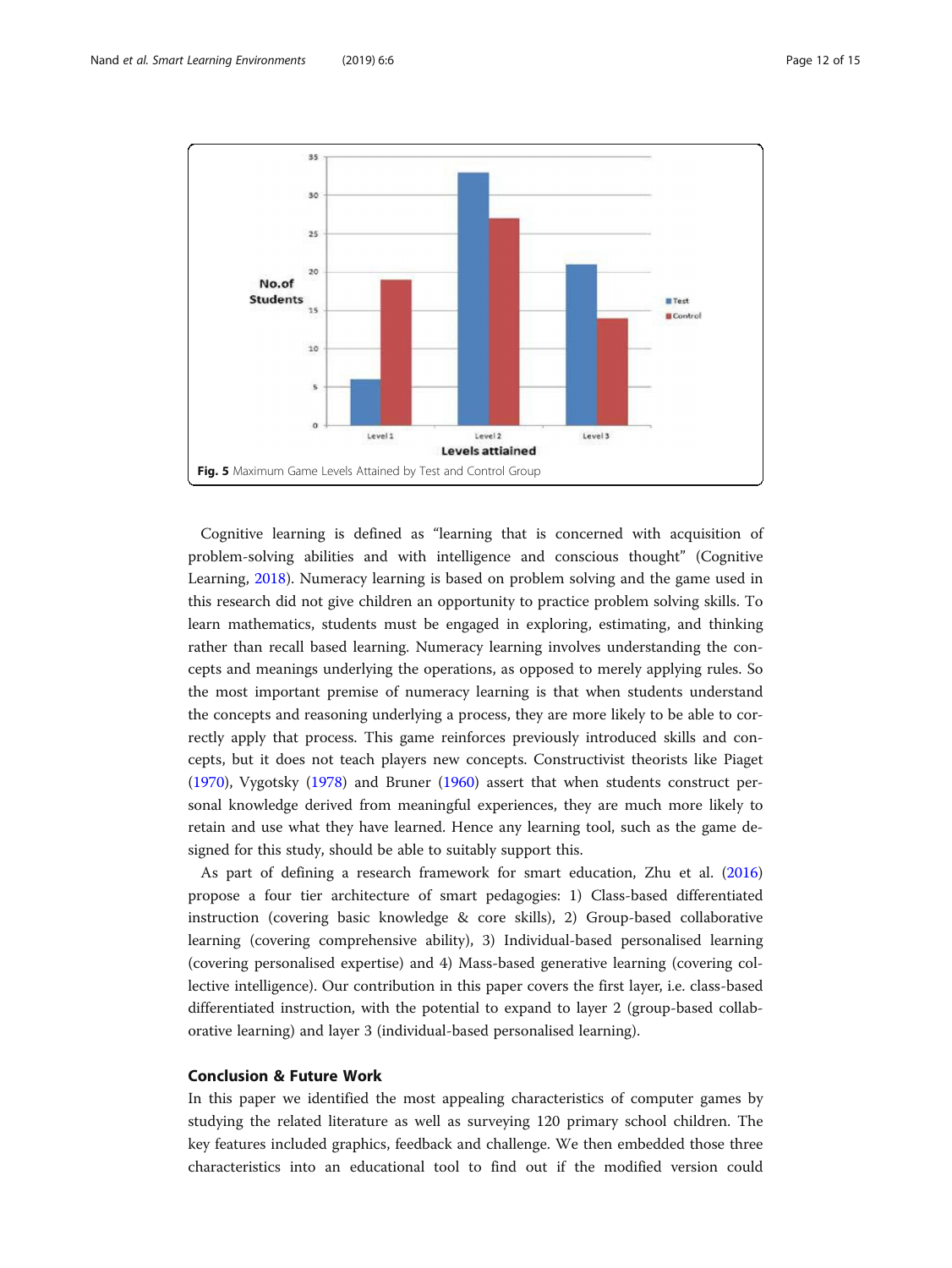<span id="page-11-0"></span>

Cognitive learning is defined as "learning that is concerned with acquisition of problem-solving abilities and with intelligence and conscious thought" (Cognitive Learning, [2018\)](#page-13-0). Numeracy learning is based on problem solving and the game used in this research did not give children an opportunity to practice problem solving skills. To learn mathematics, students must be engaged in exploring, estimating, and thinking rather than recall based learning. Numeracy learning involves understanding the concepts and meanings underlying the operations, as opposed to merely applying rules. So the most important premise of numeracy learning is that when students understand the concepts and reasoning underlying a process, they are more likely to be able to correctly apply that process. This game reinforces previously introduced skills and concepts, but it does not teach players new concepts. Constructivist theorists like Piaget ([1970](#page-13-0)), Vygotsky ([1978](#page-14-0)) and Bruner [\(1960\)](#page-13-0) assert that when students construct personal knowledge derived from meaningful experiences, they are much more likely to retain and use what they have learned. Hence any learning tool, such as the game designed for this study, should be able to suitably support this.

As part of defining a research framework for smart education, Zhu et al. ([2016](#page-14-0)) propose a four tier architecture of smart pedagogies: 1) Class-based differentiated instruction (covering basic knowledge & core skills), 2) Group-based collaborative learning (covering comprehensive ability), 3) Individual-based personalised learning (covering personalised expertise) and 4) Mass-based generative learning (covering collective intelligence). Our contribution in this paper covers the first layer, i.e. class-based differentiated instruction, with the potential to expand to layer 2 (group-based collaborative learning) and layer 3 (individual-based personalised learning).

### Conclusion & Future Work

In this paper we identified the most appealing characteristics of computer games by studying the related literature as well as surveying 120 primary school children. The key features included graphics, feedback and challenge. We then embedded those three characteristics into an educational tool to find out if the modified version could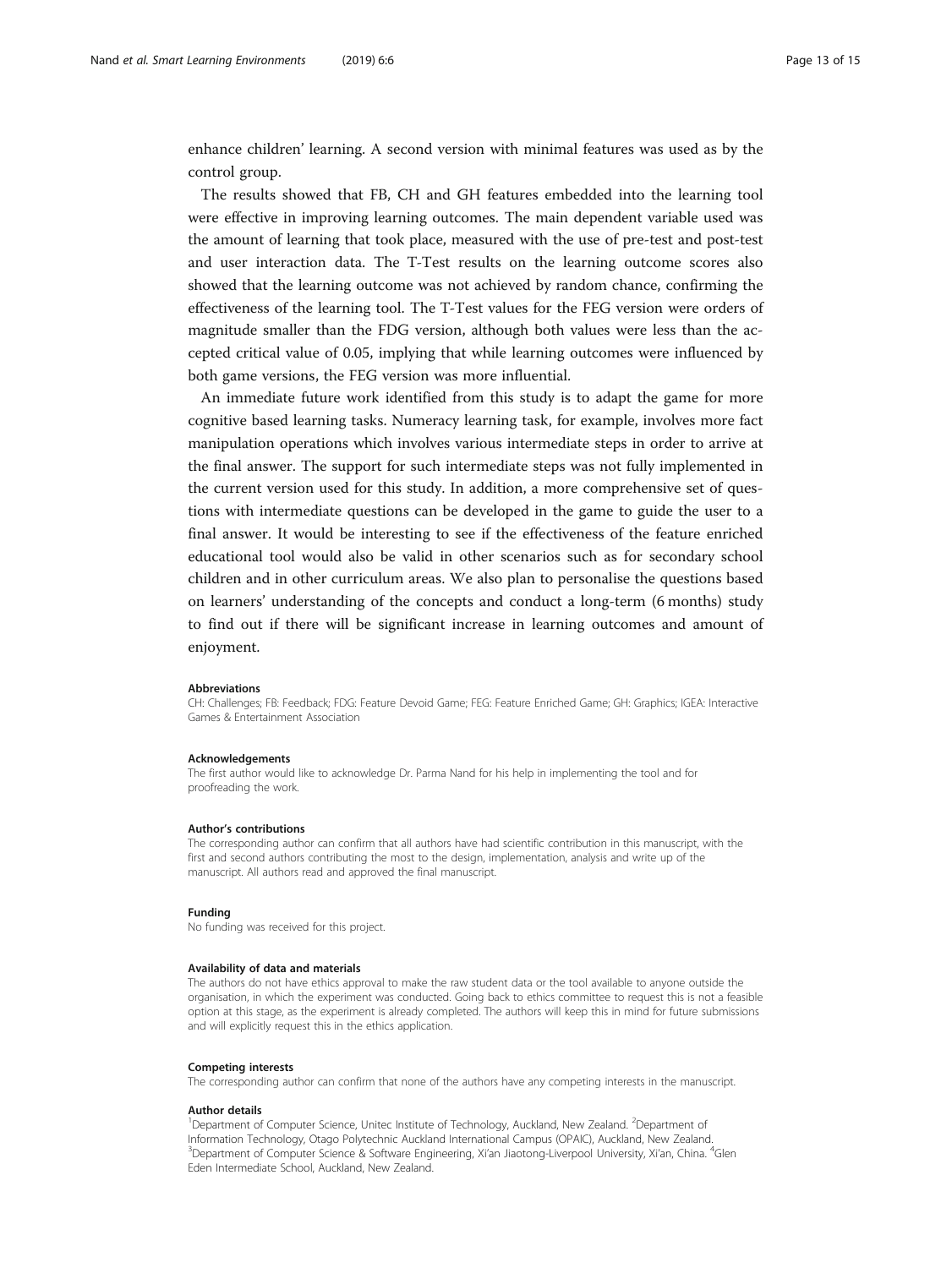enhance children' learning. A second version with minimal features was used as by the control group.

The results showed that FB, CH and GH features embedded into the learning tool were effective in improving learning outcomes. The main dependent variable used was the amount of learning that took place, measured with the use of pre-test and post-test and user interaction data. The T-Test results on the learning outcome scores also showed that the learning outcome was not achieved by random chance, confirming the effectiveness of the learning tool. The T-Test values for the FEG version were orders of magnitude smaller than the FDG version, although both values were less than the accepted critical value of 0.05, implying that while learning outcomes were influenced by both game versions, the FEG version was more influential.

An immediate future work identified from this study is to adapt the game for more cognitive based learning tasks. Numeracy learning task, for example, involves more fact manipulation operations which involves various intermediate steps in order to arrive at the final answer. The support for such intermediate steps was not fully implemented in the current version used for this study. In addition, a more comprehensive set of questions with intermediate questions can be developed in the game to guide the user to a final answer. It would be interesting to see if the effectiveness of the feature enriched educational tool would also be valid in other scenarios such as for secondary school children and in other curriculum areas. We also plan to personalise the questions based on learners' understanding of the concepts and conduct a long-term (6 months) study to find out if there will be significant increase in learning outcomes and amount of enjoyment.

#### Abbreviations

CH: Challenges; FB: Feedback; FDG: Feature Devoid Game; FEG: Feature Enriched Game; GH: Graphics; IGEA: Interactive Games & Entertainment Association

#### Acknowledgements

The first author would like to acknowledge Dr. Parma Nand for his help in implementing the tool and for proofreading the work.

#### Author's contributions

The corresponding author can confirm that all authors have had scientific contribution in this manuscript, with the first and second authors contributing the most to the design, implementation, analysis and write up of the manuscript. All authors read and approved the final manuscript.

#### Funding

No funding was received for this project.

#### Availability of data and materials

The authors do not have ethics approval to make the raw student data or the tool available to anyone outside the organisation, in which the experiment was conducted. Going back to ethics committee to request this is not a feasible option at this stage, as the experiment is already completed. The authors will keep this in mind for future submissions and will explicitly request this in the ethics application.

#### Competing interests

The corresponding author can confirm that none of the authors have any competing interests in the manuscript.

#### Author details

<sup>1</sup>Department of Computer Science, Unitec Institute of Technology, Auckland, New Zealand. <sup>2</sup>Department of Information Technology, Otago Polytechnic Auckland International Campus (OPAIC), Auckland, New Zealand. <sup>3</sup>Department of Computer Science & Software Engineering, Xi'an Jiaotong-Liverpool University, Xi'an, China. <sup>4</sup>Glen Eden Intermediate School, Auckland, New Zealand.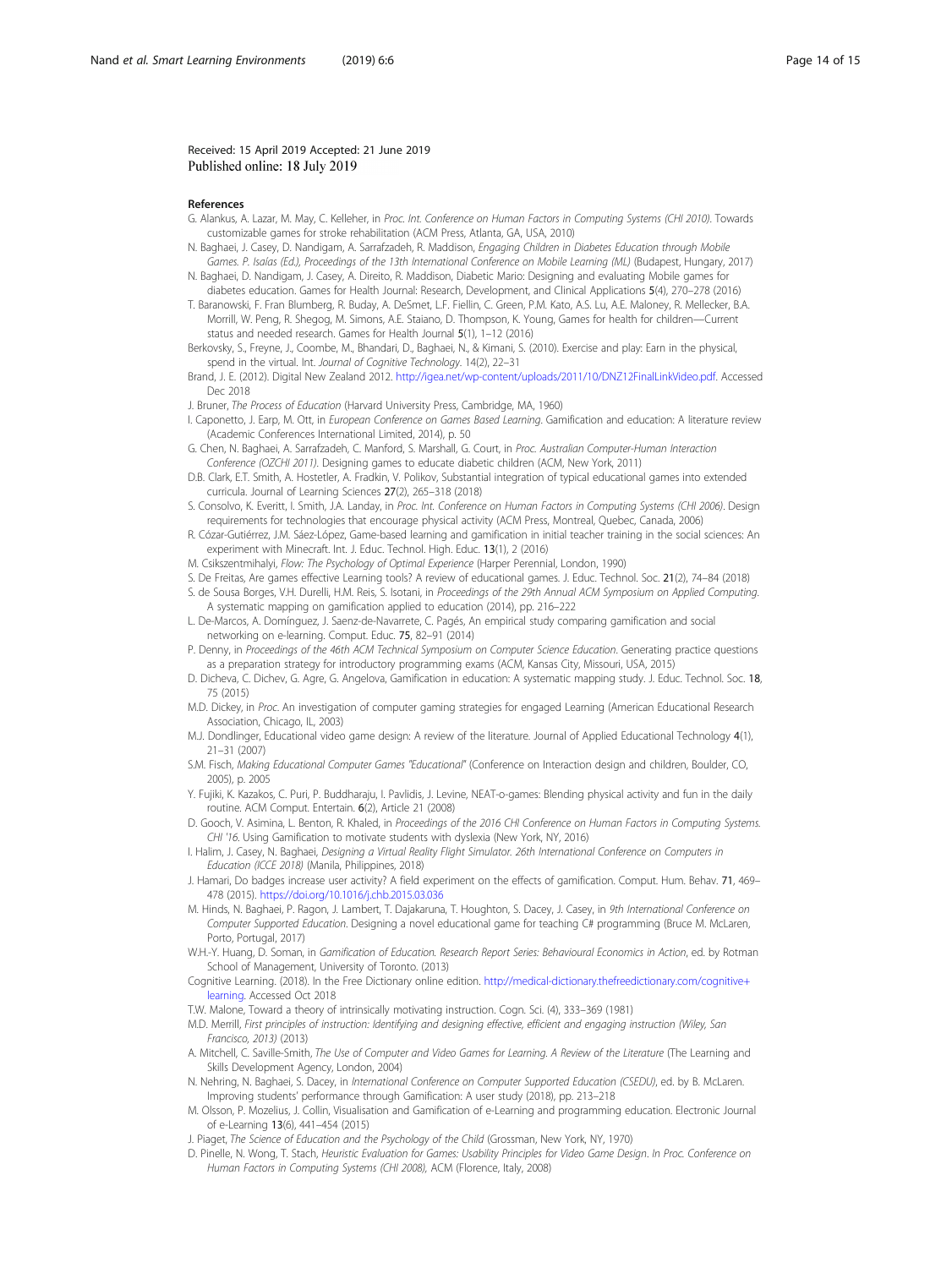#### <span id="page-13-0"></span>Received: 15 April 2019 Accepted: 21 June 2019 Published online: 18 July 2019

#### References

- G. Alankus, A. Lazar, M. May, C. Kelleher, in Proc. Int. Conference on Human Factors in Computing Systems (CHI 2010). Towards customizable games for stroke rehabilitation (ACM Press, Atlanta, GA, USA, 2010)
- N. Baghaei, J. Casey, D. Nandigam, A. Sarrafzadeh, R. Maddison, Engaging Children in Diabetes Education through Mobile Games. P. Isaías (Ed.), Proceedings of the 13th International Conference on Mobile Learning (ML) (Budapest, Hungary, 2017)
- N. Baghaei, D. Nandigam, J. Casey, A. Direito, R. Maddison, Diabetic Mario: Designing and evaluating Mobile games for diabetes education. Games for Health Journal: Research, Development, and Clinical Applications 5(4), 270–278 (2016)
- T. Baranowski, F. Fran Blumberg, R. Buday, A. DeSmet, L.F. Fiellin, C. Green, P.M. Kato, A.S. Lu, A.E. Maloney, R. Mellecker, B.A. Morrill, W. Peng, R. Shegog, M. Simons, A.E. Staiano, D. Thompson, K. Young, Games for health for children—Current status and needed research. Games for Health Journal 5(1), 1–12 (2016)

Berkovsky, S., Freyne, J., Coombe, M., Bhandari, D., Baghaei, N., & Kimani, S. (2010). Exercise and play: Earn in the physical, spend in the virtual. Int. Journal of Cognitive Technology. 14(2), 22–31

- Brand, J. E. (2012). Digital New Zealand 2012. <http://igea.net/wp-content/uploads/2011/10/DNZ12FinalLinkVideo.pdf>. Accessed Dec 2018
- J. Bruner, The Process of Education (Harvard University Press, Cambridge, MA, 1960)
- I. Caponetto, J. Earp, M. Ott, in European Conference on Games Based Learning. Gamification and education: A literature review (Academic Conferences International Limited, 2014), p. 50
- G. Chen, N. Baghaei, A. Sarrafzadeh, C. Manford, S. Marshall, G. Court, in Proc. Australian Computer-Human Interaction Conference (OZCHI 2011). Designing games to educate diabetic children (ACM, New York, 2011)
- D.B. Clark, E.T. Smith, A. Hostetler, A. Fradkin, V. Polikov, Substantial integration of typical educational games into extended curricula. Journal of Learning Sciences 27(2), 265–318 (2018)
- S. Consolvo, K. Everitt, I. Smith, J.A. Landay, in Proc. Int. Conference on Human Factors in Computing Systems (CHI 2006). Design requirements for technologies that encourage physical activity (ACM Press, Montreal, Quebec, Canada, 2006)
- R. Cózar-Gutiérrez, J.M. Sáez-López, Game-based learning and gamification in initial teacher training in the social sciences: An experiment with Minecraft. Int. J. Educ. Technol. High. Educ. 13(1), 2 (2016)
- M. Csikszentmihalyi, Flow: The Psychology of Optimal Experience (Harper Perennial, London, 1990)
- S. De Freitas, Are games effective Learning tools? A review of educational games. J. Educ. Technol. Soc. 21(2), 74–84 (2018)
- S. de Sousa Borges, V.H. Durelli, H.M. Reis, S. Isotani, in Proceedings of the 29th Annual ACM Symposium on Applied Computing. A systematic mapping on gamification applied to education (2014), pp. 216–222
- L. De-Marcos, A. Domínguez, J. Saenz-de-Navarrete, C. Pagés, An empirical study comparing gamification and social networking on e-learning. Comput. Educ. 75, 82–91 (2014)
- P. Denny, in Proceedings of the 46th ACM Technical Symposium on Computer Science Education. Generating practice questions as a preparation strategy for introductory programming exams (ACM, Kansas City, Missouri, USA, 2015)
- D. Dicheva, C. Dichev, G. Agre, G. Angelova, Gamification in education: A systematic mapping study. J. Educ. Technol. Soc. 18, 75 (2015)
- M.D. Dickey, in Proc. An investigation of computer gaming strategies for engaged Learning (American Educational Research Association, Chicago, IL, 2003)
- M.J. Dondlinger, Educational video game design: A review of the literature. Journal of Applied Educational Technology 4(1), 21–31 (2007)
- S.M. Fisch, Making Educational Computer Games "Educational" (Conference on Interaction design and children, Boulder, CO, 2005) p. 2005
- Y. Fujiki, K. Kazakos, C. Puri, P. Buddharaju, I. Pavlidis, J. Levine, NEAT-o-games: Blending physical activity and fun in the daily routine. ACM Comput. Entertain. 6(2), Article 21 (2008)
- D. Gooch, V. Asimina, L. Benton, R. Khaled, in Proceedings of the 2016 CHI Conference on Human Factors in Computing Systems. CHI '16. Using Gamification to motivate students with dyslexia (New York, NY, 2016)
- I. Halim, J. Casey, N. Baghaei, Designing a Virtual Reality Flight Simulator. 26th International Conference on Computers in Education (ICCE 2018) (Manila, Philippines, 2018)
- J. Hamari, Do badges increase user activity? A field experiment on the effects of gamification. Comput. Hum. Behav. 71, 469– 478 (2015). <https://doi.org/10.1016/j.chb.2015.03.036>
- M. Hinds, N. Baghaei, P. Ragon, J. Lambert, T. Dajakaruna, T. Houghton, S. Dacey, J. Casey, in 9th International Conference on Computer Supported Education. Designing a novel educational game for teaching C# programming (Bruce M. McLaren, Porto, Portugal, 2017)
- W.H.-Y. Huang, D. Soman, in Gamification of Education. Research Report Series: Behavioural Economics in Action, ed. by Rotman School of Management, University of Toronto. (2013)
- Cognitive Learning. (2018). In the Free Dictionary online edition. [http://medical-dictionary.thefreedictionary.com/cognitive+](http://medical-dictionary.thefreedictionary.com/cognitive+learning) [learning.](http://medical-dictionary.thefreedictionary.com/cognitive+learning) Accessed Oct 2018
- T.W. Malone, Toward a theory of intrinsically motivating instruction. Cogn. Sci. (4), 333–369 (1981)
- M.D. Merrill, First principles of instruction: Identifying and designing effective, efficient and engaging instruction (Wiley, San Francisco, 2013) (2013)
- A. Mitchell, C. Saville-Smith, The Use of Computer and Video Games for Learning. A Review of the Literature (The Learning and Skills Development Agency, London, 2004)
- N. Nehring, N. Baghaei, S. Dacey, in International Conference on Computer Supported Education (CSEDU), ed. by B. McLaren. Improving students' performance through Gamification: A user study (2018), pp. 213–218
- M. Olsson, P. Mozelius, J. Collin, Visualisation and Gamification of e-Learning and programming education. Electronic Journal of e-Learning 13(6), 441–454 (2015)
- J. Piaget, The Science of Education and the Psychology of the Child (Grossman, New York, NY, 1970)
- D. Pinelle, N. Wong, T. Stach, Heuristic Evaluation for Games: Usability Principles for Video Game Design. In Proc. Conference on Human Factors in Computing Systems (CHI 2008), ACM (Florence, Italy, 2008)